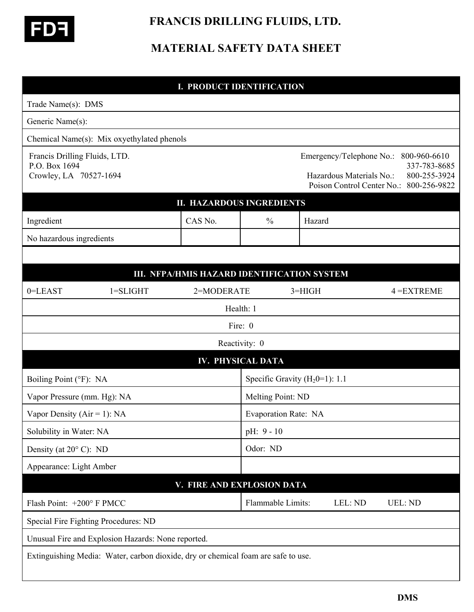

## **FRANCIS DRILLING FLUIDS, LTD.**

## **MATERIAL SAFETY DATA SHEET**

|                                                                          |                                                                                   | <b>I. PRODUCT IDENTIFICATION</b>            |                                  |          |                                                      |                                                                                         |
|--------------------------------------------------------------------------|-----------------------------------------------------------------------------------|---------------------------------------------|----------------------------------|----------|------------------------------------------------------|-----------------------------------------------------------------------------------------|
| Trade Name(s): DMS                                                       |                                                                                   |                                             |                                  |          |                                                      |                                                                                         |
| Generic Name(s):                                                         |                                                                                   |                                             |                                  |          |                                                      |                                                                                         |
|                                                                          | Chemical Name(s): Mix oxyethylated phenols                                        |                                             |                                  |          |                                                      |                                                                                         |
| Francis Drilling Fluids, LTD.<br>P.O. Box 1694<br>Crowley, LA 70527-1694 |                                                                                   |                                             |                                  |          | Emergency/Telephone No.:<br>Hazardous Materials No.: | 800-960-6610<br>337-783-8685<br>800-255-3924<br>Poison Control Center No.: 800-256-9822 |
|                                                                          |                                                                                   | <b>II. HAZARDOUS INGREDIENTS</b>            |                                  |          |                                                      |                                                                                         |
| Ingredient                                                               |                                                                                   | CAS No.                                     | $\frac{0}{0}$                    | Hazard   |                                                      |                                                                                         |
| No hazardous ingredients                                                 |                                                                                   |                                             |                                  |          |                                                      |                                                                                         |
|                                                                          |                                                                                   |                                             |                                  |          |                                                      |                                                                                         |
|                                                                          |                                                                                   | III. NFPA/HMIS HAZARD IDENTIFICATION SYSTEM |                                  |          |                                                      |                                                                                         |
| 0=LEAST                                                                  | $1 = SLIGHT$                                                                      | 2=MODERATE                                  |                                  | $3=HIGH$ |                                                      | $4 = EXTREME$                                                                           |
|                                                                          |                                                                                   | Health: 1                                   |                                  |          |                                                      |                                                                                         |
|                                                                          |                                                                                   | Fire: 0                                     |                                  |          |                                                      |                                                                                         |
|                                                                          |                                                                                   | Reactivity: 0                               |                                  |          |                                                      |                                                                                         |
|                                                                          |                                                                                   | <b>IV. PHYSICAL DATA</b>                    |                                  |          |                                                      |                                                                                         |
| Boiling Point (°F): NA                                                   |                                                                                   |                                             | Specific Gravity $(H20=1)$ : 1.1 |          |                                                      |                                                                                         |
| Vapor Pressure (mm. Hg): NA                                              |                                                                                   |                                             | Melting Point: ND                |          |                                                      |                                                                                         |
| Vapor Density ( $Air = 1$ ): NA                                          |                                                                                   |                                             | Evaporation Rate: NA             |          |                                                      |                                                                                         |
| Solubility in Water: NA                                                  |                                                                                   |                                             | pH: 9 - 10                       |          |                                                      |                                                                                         |
|                                                                          | Density (at $20^{\circ}$ C): ND                                                   |                                             |                                  | Odor: ND |                                                      |                                                                                         |
| Appearance: Light Amber                                                  |                                                                                   |                                             |                                  |          |                                                      |                                                                                         |
|                                                                          |                                                                                   | V. FIRE AND EXPLOSION DATA                  |                                  |          |                                                      |                                                                                         |
| Flash Point: +200° F PMCC                                                |                                                                                   |                                             | Flammable Limits:                |          | LEL: ND                                              | <b>UEL: ND</b>                                                                          |
|                                                                          | Special Fire Fighting Procedures: ND                                              |                                             |                                  |          |                                                      |                                                                                         |
|                                                                          | Unusual Fire and Explosion Hazards: None reported.                                |                                             |                                  |          |                                                      |                                                                                         |
|                                                                          | Extinguishing Media: Water, carbon dioxide, dry or chemical foam are safe to use. |                                             |                                  |          |                                                      |                                                                                         |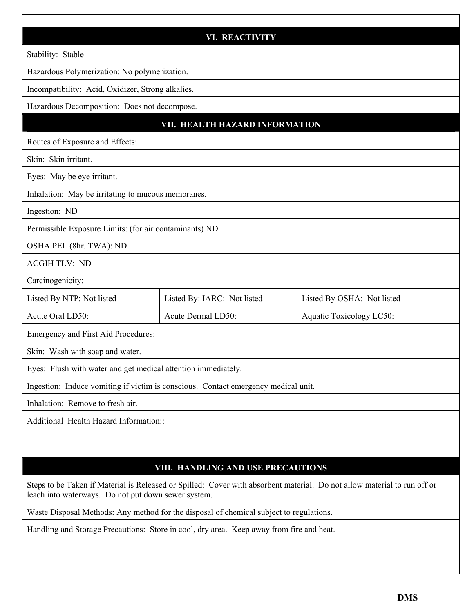|                                                               | <b>VI. REACTIVITY</b>                                                              |                                                                                                                          |  |  |  |
|---------------------------------------------------------------|------------------------------------------------------------------------------------|--------------------------------------------------------------------------------------------------------------------------|--|--|--|
| Stability: Stable                                             |                                                                                    |                                                                                                                          |  |  |  |
| Hazardous Polymerization: No polymerization.                  |                                                                                    |                                                                                                                          |  |  |  |
| Incompatibility: Acid, Oxidizer, Strong alkalies.             |                                                                                    |                                                                                                                          |  |  |  |
| Hazardous Decomposition: Does not decompose.                  |                                                                                    |                                                                                                                          |  |  |  |
|                                                               | VII. HEALTH HAZARD INFORMATION                                                     |                                                                                                                          |  |  |  |
| Routes of Exposure and Effects:                               |                                                                                    |                                                                                                                          |  |  |  |
| Skin: Skin irritant.                                          |                                                                                    |                                                                                                                          |  |  |  |
| Eyes: May be eye irritant.                                    |                                                                                    |                                                                                                                          |  |  |  |
| Inhalation: May be irritating to mucous membranes.            |                                                                                    |                                                                                                                          |  |  |  |
| Ingestion: ND                                                 |                                                                                    |                                                                                                                          |  |  |  |
| Permissible Exposure Limits: (for air contaminants) ND        |                                                                                    |                                                                                                                          |  |  |  |
| OSHA PEL (8hr. TWA): ND                                       |                                                                                    |                                                                                                                          |  |  |  |
| <b>ACGIH TLV: ND</b>                                          |                                                                                    |                                                                                                                          |  |  |  |
| Carcinogenicity:                                              |                                                                                    |                                                                                                                          |  |  |  |
| Listed By NTP: Not listed                                     | Listed By: IARC: Not listed                                                        | Listed By OSHA: Not listed                                                                                               |  |  |  |
| Acute Oral LD50:                                              | Acute Dermal LD50:                                                                 | Aquatic Toxicology LC50:                                                                                                 |  |  |  |
| Emergency and First Aid Procedures:                           |                                                                                    |                                                                                                                          |  |  |  |
| Skin: Wash with soap and water.                               |                                                                                    |                                                                                                                          |  |  |  |
| Eyes: Flush with water and get medical attention immediately. |                                                                                    |                                                                                                                          |  |  |  |
|                                                               | Ingestion: Induce vomiting if victim is conscious. Contact emergency medical unit. |                                                                                                                          |  |  |  |
| Inhalation: Remove to fresh air.                              |                                                                                    |                                                                                                                          |  |  |  |
| Additional Health Hazard Information::                        |                                                                                    |                                                                                                                          |  |  |  |
|                                                               |                                                                                    |                                                                                                                          |  |  |  |
|                                                               |                                                                                    |                                                                                                                          |  |  |  |
|                                                               | VIII. HANDLING AND USE PRECAUTIONS                                                 |                                                                                                                          |  |  |  |
| leach into waterways. Do not put down sewer system.           |                                                                                    | Steps to be Taken if Material is Released or Spilled: Cover with absorbent material. Do not allow material to run off or |  |  |  |

Waste Disposal Methods: Any method for the disposal of chemical subject to regulations.

Handling and Storage Precautions: Store in cool, dry area. Keep away from fire and heat.